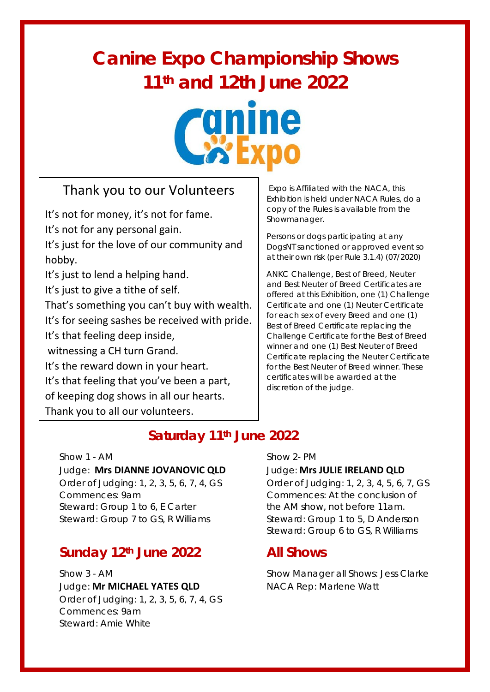# **Canine Expo Championship Shows 11th and 12th June 2022**



## Thank you to our Volunteers

It's not for money, it's not for fame. It's not for any personal gain. It's just for the love of our community and hobby. It's just to lend a helping hand. It's just to give a tithe of self. That's something you can't buy with wealth. It's for seeing sashes be received with pride. It's that feeling deep inside, witnessing a CH turn Grand. It's the reward down in your heart. It's that feeling that you've been a part, of keeping dog shows in all our hearts. Thank you to all our volunteers.

Expo is Affiliated with the NACA, this Exhibition is held under NACA Rules, do a copy of the Rules is available from the Showmanager.

Persons or dogs participating at any DogsNT sanctioned or approved event so at their own risk (per Rule 3.1.4) (07/2020)

ANKC Challenge, Best of Breed, Neuter and Best Neuter of Breed Certificates are offered at this Exhibition, one (1) Challenge Certificate and one (1) Neuter Certificate for each sex of every Breed and one (1) Best of Breed Certificate replacing the Challenge Certificate for the Best of Breed winner and one (1) Best Neuter of Breed Certificate replacing the Neuter Certificate for the Best Neuter of Breed winner. These certificates will be awarded at the discretion of the judge.

### **Saturday 11th June 2022**

Show 1 - AM Show 2- PM Judge: **Mrs DIANNE JOVANOVIC QLD** Judge: **Mrs JULIE IRELAND QLD** Order of Judging: 1, 2, 3, 5, 6, 7, 4, GS Order of Judging: 1, 2, 3, 4, 5, 6, 7, GS Commences: 9am Commences: At the conclusion of Steward: Group 1 to 6, E Carter the AM show, not before 11am. Steward: Group 7 to GS, R Williams Steward: Group 1 to 5, D Anderson

### **Sunday 12th June 2022 All Shows**

Show 3 - AM Show Manager all Shows: Jess Clarke Judge: **Mr MICHAEL YATES QLD** NACA Rep: Marlene Watt Order of Judging: 1, 2, 3, 5, 6, 7, 4, GS Commences: 9am Steward: Amie White

Steward: Group 6 to GS, R Williams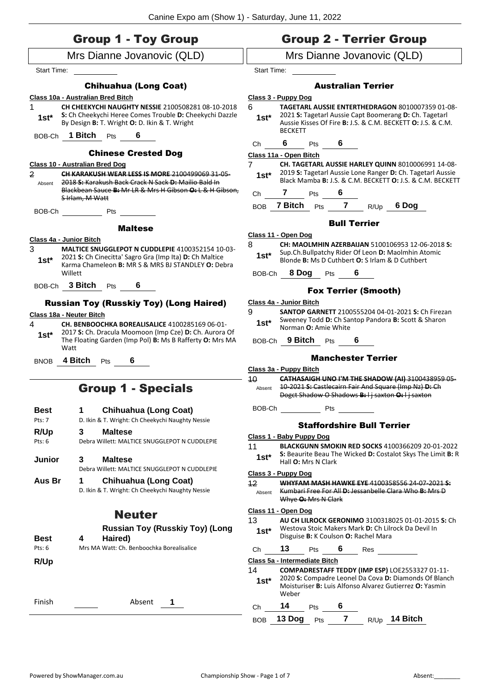|                                                                                                                                                                                                                                                                                                                                                                                                                                                                                                                                                                                                                                                                                                                                                                                                                                                                                                                                                                                                                                                        | <b>Group 1 - Toy Group</b>             |                        |                               |     |                     |                                                                                                             | <b>Group 2 - Terrier Group</b>                                                                                                                                      |
|--------------------------------------------------------------------------------------------------------------------------------------------------------------------------------------------------------------------------------------------------------------------------------------------------------------------------------------------------------------------------------------------------------------------------------------------------------------------------------------------------------------------------------------------------------------------------------------------------------------------------------------------------------------------------------------------------------------------------------------------------------------------------------------------------------------------------------------------------------------------------------------------------------------------------------------------------------------------------------------------------------------------------------------------------------|----------------------------------------|------------------------|-------------------------------|-----|---------------------|-------------------------------------------------------------------------------------------------------------|---------------------------------------------------------------------------------------------------------------------------------------------------------------------|
|                                                                                                                                                                                                                                                                                                                                                                                                                                                                                                                                                                                                                                                                                                                                                                                                                                                                                                                                                                                                                                                        |                                        |                        |                               |     |                     |                                                                                                             | Mrs Dianne Jovanovic (QLD)                                                                                                                                          |
| Start Time:                                                                                                                                                                                                                                                                                                                                                                                                                                                                                                                                                                                                                                                                                                                                                                                                                                                                                                                                                                                                                                            |                                        | <b>Start Time:</b>     |                               |     |                     |                                                                                                             |                                                                                                                                                                     |
|                                                                                                                                                                                                                                                                                                                                                                                                                                                                                                                                                                                                                                                                                                                                                                                                                                                                                                                                                                                                                                                        | <b>Chihuahua (Long Coat)</b>           |                        |                               |     |                     | <b>Australian Terrier</b>                                                                                   |                                                                                                                                                                     |
|                                                                                                                                                                                                                                                                                                                                                                                                                                                                                                                                                                                                                                                                                                                                                                                                                                                                                                                                                                                                                                                        |                                        |                        | Class 3 - Puppy Dog           |     |                     |                                                                                                             |                                                                                                                                                                     |
| 1                                                                                                                                                                                                                                                                                                                                                                                                                                                                                                                                                                                                                                                                                                                                                                                                                                                                                                                                                                                                                                                      |                                        | 6                      |                               |     |                     |                                                                                                             | <b>TAGETARL AUSSIE ENTERTHEDRAGON 8010007359 01-08-</b>                                                                                                             |
| $1st*$                                                                                                                                                                                                                                                                                                                                                                                                                                                                                                                                                                                                                                                                                                                                                                                                                                                                                                                                                                                                                                                 |                                        | $1st^*$                | <b>BECKETT</b>                |     |                     |                                                                                                             | 2021 S: Tagetarl Aussie Capt Boomerang D: Ch. Tagetarl<br>Aussie Kisses Of Fire B: J.S. & C.M. BECKETT O: J.S. & C.M.                                               |
| BOB-Ch                                                                                                                                                                                                                                                                                                                                                                                                                                                                                                                                                                                                                                                                                                                                                                                                                                                                                                                                                                                                                                                 |                                        | Ch                     | 6.                            | Pts | 6                   |                                                                                                             |                                                                                                                                                                     |
| Mrs Dianne Jovanovic (QLD)<br>By Design B: T. Wright O: D. Ikin & T. Wright<br><b>1 Bitch</b> Pts<br><b>Chinese Crested Dog</b><br>Class 10 - Australian Bred Dog<br>2018 S: Karakush Back Crack N Sack D: Mailio Bald In<br>Absent<br>S Irlam, M Watt<br><b>Example 19</b> Pts<br>BOB-Ch<br><b>Maltese</b><br>2021 S: Ch Cinecitta' Sagro Gra (Imp Ita) D: Ch Maltice<br>$1st^*$<br>Willett<br>BOB-Ch 3 Bitch Pts 6<br>$1st*$<br>Watt<br>4 <b>Bitch</b> Pts<br>6<br><b>BNOB</b><br><b>Group 1 - Specials</b><br><b>Chihuahua (Long Coat)</b><br><b>Best</b><br>1<br>D. Ikin & T. Wright: Ch Cheekychi Naughty Nessie<br>Pts: 7<br>R/Up<br><b>Maltese</b><br>3<br>Pts: 6<br>Debra Willett: MALTICE SNUGGLEPOT N CUDDLEPIE<br>3<br><b>Maltese</b><br>Junior<br>Debra Willett: MALTICE SNUGGLEPOT N CUDDLEPIE<br>Aus Br<br><b>Chihuahua (Long Coat)</b><br>1<br>D. Ikin & T. Wright: Ch Cheekychi Naughty Nessie<br><b>Neuter</b><br><b>Best</b><br>Haired)<br>4<br>Mrs MA Watt: Ch. Benboochka Borealisalice<br>Pts: 6<br>R/Up<br>Finish<br>Absent<br>1 |                                        | Class 11a - Open Bitch |                               |     |                     |                                                                                                             |                                                                                                                                                                     |
|                                                                                                                                                                                                                                                                                                                                                                                                                                                                                                                                                                                                                                                                                                                                                                                                                                                                                                                                                                                                                                                        |                                        | 7                      |                               |     |                     |                                                                                                             | CH. TAGETARL AUSSIE HARLEY QUINN 8010006991 14-08-                                                                                                                  |
| $\overline{2}$                                                                                                                                                                                                                                                                                                                                                                                                                                                                                                                                                                                                                                                                                                                                                                                                                                                                                                                                                                                                                                         |                                        | $1st^*$                |                               |     |                     |                                                                                                             | 2019 S: Tagetarl Aussie Lone Ranger D: Ch. Tagetarl Aussie<br>Black Mamba B: J.S. & C.M. BECKETT O: J.S. & C.M. BECKETT                                             |
|                                                                                                                                                                                                                                                                                                                                                                                                                                                                                                                                                                                                                                                                                                                                                                                                                                                                                                                                                                                                                                                        |                                        | Ch                     | 7                             | Pts | 6                   |                                                                                                             |                                                                                                                                                                     |
|                                                                                                                                                                                                                                                                                                                                                                                                                                                                                                                                                                                                                                                                                                                                                                                                                                                                                                                                                                                                                                                        |                                        | <b>BOB</b>             | <b>7 Bitch</b> Pts            |     | $\overline{7}$      | R/Up                                                                                                        | 6 Dog                                                                                                                                                               |
|                                                                                                                                                                                                                                                                                                                                                                                                                                                                                                                                                                                                                                                                                                                                                                                                                                                                                                                                                                                                                                                        |                                        |                        |                               |     | <b>Bull Terrier</b> |                                                                                                             |                                                                                                                                                                     |
|                                                                                                                                                                                                                                                                                                                                                                                                                                                                                                                                                                                                                                                                                                                                                                                                                                                                                                                                                                                                                                                        |                                        |                        | Class 11 - Open Dog           |     |                     |                                                                                                             |                                                                                                                                                                     |
| 3                                                                                                                                                                                                                                                                                                                                                                                                                                                                                                                                                                                                                                                                                                                                                                                                                                                                                                                                                                                                                                                      |                                        | 8<br>$1st^*$           |                               |     |                     |                                                                                                             | CH: MAOLMHIN AZERBAIJAN 5100106953 12-06-2018 S:<br>Sup.Ch.Bullpatchy Rider Of Leon D: Maolmhin Atomic<br>Blonde B: Ms D Cuthbert O: S Irlam & D Cuthbert           |
|                                                                                                                                                                                                                                                                                                                                                                                                                                                                                                                                                                                                                                                                                                                                                                                                                                                                                                                                                                                                                                                        |                                        | BOB-Ch                 | 8 Dog                         | Pts | 6                   |                                                                                                             |                                                                                                                                                                     |
|                                                                                                                                                                                                                                                                                                                                                                                                                                                                                                                                                                                                                                                                                                                                                                                                                                                                                                                                                                                                                                                        |                                        |                        |                               |     |                     | <b>Fox Terrier (Smooth)</b>                                                                                 |                                                                                                                                                                     |
|                                                                                                                                                                                                                                                                                                                                                                                                                                                                                                                                                                                                                                                                                                                                                                                                                                                                                                                                                                                                                                                        |                                        |                        | Class 4a - Junior Bitch       |     |                     |                                                                                                             |                                                                                                                                                                     |
|                                                                                                                                                                                                                                                                                                                                                                                                                                                                                                                                                                                                                                                                                                                                                                                                                                                                                                                                                                                                                                                        |                                        | 9                      |                               |     |                     |                                                                                                             | <b>SANTOP GARNETT 2100555204 04-01-2021 S: Ch Firezan</b>                                                                                                           |
| 4                                                                                                                                                                                                                                                                                                                                                                                                                                                                                                                                                                                                                                                                                                                                                                                                                                                                                                                                                                                                                                                      |                                        | $1st*$                 | Norman O: Amie White          |     |                     |                                                                                                             | Sweeney Todd D: Ch Santop Pandora B: Scott & Sharon                                                                                                                 |
|                                                                                                                                                                                                                                                                                                                                                                                                                                                                                                                                                                                                                                                                                                                                                                                                                                                                                                                                                                                                                                                        |                                        |                        | BOB-Ch 9 Bitch Pts            |     |                     |                                                                                                             |                                                                                                                                                                     |
|                                                                                                                                                                                                                                                                                                                                                                                                                                                                                                                                                                                                                                                                                                                                                                                                                                                                                                                                                                                                                                                        |                                        |                        |                               |     |                     | <b>Manchester Terrier</b>                                                                                   |                                                                                                                                                                     |
|                                                                                                                                                                                                                                                                                                                                                                                                                                                                                                                                                                                                                                                                                                                                                                                                                                                                                                                                                                                                                                                        |                                        | 10                     | Class 3a - Puppy Bitch        |     |                     |                                                                                                             | CATHASAIGH UNO I'M THE SHADOW (AI) 3100438959 05-                                                                                                                   |
| Class 10a - Australian Bred Bitch<br>CH CHEEKYCHI NAUGHTY NESSIE 2100508281 08-10-2018<br>S: Ch Cheekychi Heree Comes Trouble D: Cheekychi Dazzle<br>CH KARAKUSH WEAR LESS IS MORE 2100499069 31-05-<br>Blackbean Sauce B: Mr LR & Mrs H Gibson O: L & H Gibson.<br>Class 4a - Junior Bitch<br><b>MALTICE SNUGGLEPOT N CUDDLEPIE 4100352154 10-03-</b><br>Karma Chameleon B: MR S & MRS BJ STANDLEY O: Debra<br><b>Russian Toy (Russkiy Toy) (Long Haired)</b><br>Class 18a - Neuter Bitch<br>CH. BENBOOCHKA BOREALISALICE 4100285169 06-01-<br>2017 S: Ch. Dracula Moomoon (Imp Cze) D: Ch. Aurora Of<br>The Floating Garden (Imp Pol) B: Ms B Rafferty O: Mrs MA                                                                                                                                                                                                                                                                                                                                                                                     | Absent                                 |                        |                               |     |                     | 10 2021 S: Castlecairn Fair And Square (Imp Nz) D: Ch<br>Dogct Shadow O Shadows B: I j saxton O: I j saxton |                                                                                                                                                                     |
|                                                                                                                                                                                                                                                                                                                                                                                                                                                                                                                                                                                                                                                                                                                                                                                                                                                                                                                                                                                                                                                        |                                        | BOB-Ch Pts             |                               |     |                     |                                                                                                             |                                                                                                                                                                     |
|                                                                                                                                                                                                                                                                                                                                                                                                                                                                                                                                                                                                                                                                                                                                                                                                                                                                                                                                                                                                                                                        |                                        |                        |                               |     |                     | <b>Staffordshire Bull Terrier</b>                                                                           |                                                                                                                                                                     |
|                                                                                                                                                                                                                                                                                                                                                                                                                                                                                                                                                                                                                                                                                                                                                                                                                                                                                                                                                                                                                                                        |                                        |                        | Class 1 - Baby Puppy Dog      |     |                     |                                                                                                             |                                                                                                                                                                     |
|                                                                                                                                                                                                                                                                                                                                                                                                                                                                                                                                                                                                                                                                                                                                                                                                                                                                                                                                                                                                                                                        |                                        | 11                     |                               |     |                     |                                                                                                             | <b>BLACKGUNN SMOKIN RED SOCKS 4100366209 20-01-2022</b>                                                                                                             |
|                                                                                                                                                                                                                                                                                                                                                                                                                                                                                                                                                                                                                                                                                                                                                                                                                                                                                                                                                                                                                                                        |                                        | $1st*$                 | Hall <b>O:</b> Mrs N Clark    |     |                     |                                                                                                             | S: Beaurite Beau The Wicked D: Costalot Skys The Limit B: R                                                                                                         |
|                                                                                                                                                                                                                                                                                                                                                                                                                                                                                                                                                                                                                                                                                                                                                                                                                                                                                                                                                                                                                                                        |                                        |                        | Class 3 - Puppy Dog           |     |                     |                                                                                                             |                                                                                                                                                                     |
|                                                                                                                                                                                                                                                                                                                                                                                                                                                                                                                                                                                                                                                                                                                                                                                                                                                                                                                                                                                                                                                        |                                        | 12<br>Absent           | Whye <b>O:</b> Mrs N Clark    |     |                     |                                                                                                             | WHYFAM MASH HAWKE EYE 4100358556 24-07-2021 S.<br>Kumbari Free For All D: Jessanbelle Clara Who B: Mrs D                                                            |
|                                                                                                                                                                                                                                                                                                                                                                                                                                                                                                                                                                                                                                                                                                                                                                                                                                                                                                                                                                                                                                                        |                                        | 13                     | Class 11 - Open Dog           |     |                     |                                                                                                             | <b>AU CH LILROCK GERONIMO 3100318025 01-01-2015 S: Ch</b>                                                                                                           |
|                                                                                                                                                                                                                                                                                                                                                                                                                                                                                                                                                                                                                                                                                                                                                                                                                                                                                                                                                                                                                                                        | <b>Russian Toy (Russkiy Toy) (Long</b> | $1st*$                 |                               |     |                     | Disguise B: K Coulson O: Rachel Mara                                                                        | Westova Stoic Makers Mark D: Ch Lilrock Da Devil In                                                                                                                 |
|                                                                                                                                                                                                                                                                                                                                                                                                                                                                                                                                                                                                                                                                                                                                                                                                                                                                                                                                                                                                                                                        |                                        | Ch                     | 13                            | Pts | 6 Res               |                                                                                                             |                                                                                                                                                                     |
|                                                                                                                                                                                                                                                                                                                                                                                                                                                                                                                                                                                                                                                                                                                                                                                                                                                                                                                                                                                                                                                        |                                        |                        | Class 5a - Intermediate Bitch |     |                     |                                                                                                             |                                                                                                                                                                     |
|                                                                                                                                                                                                                                                                                                                                                                                                                                                                                                                                                                                                                                                                                                                                                                                                                                                                                                                                                                                                                                                        |                                        | 14<br>$1st*$           | Weber                         |     |                     |                                                                                                             | COMPADRESTAFF TEDDY (IMP ESP) LOE2553327 01-11-<br>2020 S: Compadre Leonel Da Cova D: Diamonds Of Blanch<br>Moisturiser B: Luis Alfonso Alvarez Gutierrez O: Yasmin |
|                                                                                                                                                                                                                                                                                                                                                                                                                                                                                                                                                                                                                                                                                                                                                                                                                                                                                                                                                                                                                                                        |                                        |                        | 14                            |     |                     |                                                                                                             |                                                                                                                                                                     |
|                                                                                                                                                                                                                                                                                                                                                                                                                                                                                                                                                                                                                                                                                                                                                                                                                                                                                                                                                                                                                                                        |                                        | Ch                     |                               | Pts | 6<br>7 <sup>7</sup> |                                                                                                             | R/Up 14 Bitch                                                                                                                                                       |
|                                                                                                                                                                                                                                                                                                                                                                                                                                                                                                                                                                                                                                                                                                                                                                                                                                                                                                                                                                                                                                                        |                                        | <b>BOB</b>             | 13 Dog Pts                    |     |                     |                                                                                                             |                                                                                                                                                                     |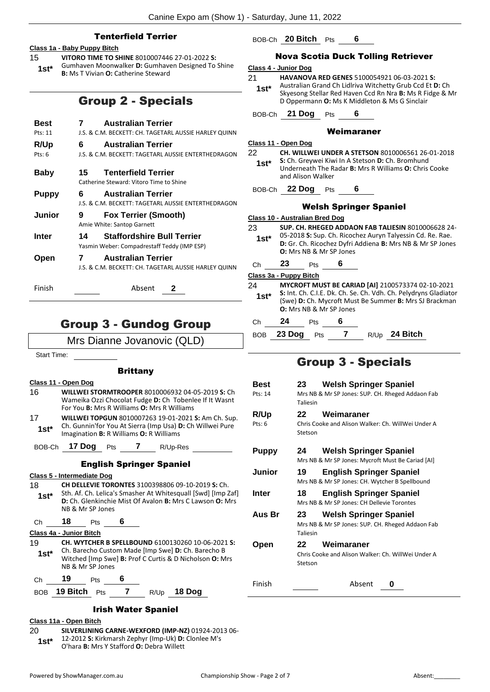#### Tenterfield Terrier

#### **Class 1a - Baby Puppy Bitch**

- 15 **VITORO TIME TO SHINE** 8010007446 27-01-2022 **S:** 
	- Gumhaven Moonwalker **D:** Gumhaven Designed To Shine **1st**\* Gumnaven Moonwalker **D:** Gumnave<br>**1st\* B:** Ms T Vivian **O:** Catherine Steward

### Group 2 - Specials

| Best<br>Pts: 11   | <b>Australian Terrier</b><br>J.S. & C.M. BECKETT: CH. TAGETARL AUSSIE HARLEY QUINN      |
|-------------------|-----------------------------------------------------------------------------------------|
| R/Up<br>$P$ ts: 6 | <b>Australian Terrier</b><br>6<br>J.S. & C.M. BECKETT: TAGETARL AUSSIE ENTERTHEDRAGON   |
| Baby              | <b>Tenterfield Terrier</b><br>15<br>Catherine Steward: Vitoro Time to Shine             |
| <b>Puppy</b>      | <b>Australian Terrier</b><br>6.<br>J.S. & C.M. BECKETT: TAGETARL AUSSIE ENTERTHEDRAGON  |
| Junior            | <b>Fox Terrier (Smooth)</b><br>9<br>Amie White: Santop Garnett                          |
| Inter             | <b>Staffordshire Bull Terrier</b><br>14<br>Yasmin Weber: Compadrestaff Teddy (IMP ESP)  |
| Open              | <b>Australian Terrier</b><br>7<br>J.S. & C.M. BECKETT: CH. TAGETARL AUSSIE HARLEY QUINN |
| Finish            | Absent<br>2                                                                             |

### Group 3 - Gundog Group

Mrs Dianne Jovanovic (QLD)

Start Time:

#### **Brittany**

- **Class 11 - Open Dog**
- 16 **WILLWEI STORMTROOPER** 8010006932 04-05-2019 **S:** Ch Wameika Ozzi Chocolat Fudge **D:** Ch Tobenlee If It Wasnt For You **B:** Mrs R Williams **O:** Mrs R Williams 17 **WILLWEI TOPGUN** 8010007263 19-01-2021 **S:** Am Ch. Sup.
- Ch. Gunnin'for You At Sierra (Imp Usa) **D:** Ch Willwei Pure Imagination **B:** R Williams **O:** R Williams **1st\***
- BOB-Ch **17 Dog** Pts **7** R/Up-Res

#### English Springer Spaniel

#### **Class 5 - Intermediate Dog**

18 **CH DELLEVIE TORONTES** 3100398806 09-10-2019 **S:** Ch. Sth. Af. Ch. Lelica's Smasher At Whitesquall [Swd] [Imp Zaf] **D:** Ch. Glenkinchie Mist Of Avalon **B:** Mrs C Lawson **O:** Mrs NB & Mr SP Jones **1st\***

Ch **18** Pts **6**

#### **Class 4a - Junior Bitch**

19 **CH. WYTCHER B SPELLBOUND** 6100130260 10-06-2021 **S:**  Ch. Barecho Custom Made [Imp Swe] **D:** Ch. Barecho B Witched [Imp Swe] **B:** Prof C Curtis & D Nicholson **O:** Mrs NB & Mr SP Jones **1st\***

Ch **19** Pts **6**

BOB **19 Bitch** Pts **7** R/Up **18 Dog**

#### Irish Water Spaniel

#### **Class 11a - Open Bitch**

20 **SILVERLINING CARNE-WEXFORD (IMP-NZ)** 01924-2013 06- 12-2012 **S:** Kirkmarsh Zephyr (Imp-Uk) **D:** Clonlee M's O'hara **B:** Mrs Y Stafford **O:** Debra Willett **1st\***

#### BOB-Ch **20 Bitch** Pts **6**

#### Nova Scotia Duck Tolling Retriever

#### **Class 4 - Junior Dog**

- 21 **HAVANOVA RED GENES** 5100054921 06-03-2021 **S:**
- Australian Grand Ch Lidlriva Witchetty Grub Ccd Et **D:** Ch Skyesong Stellar Red Haven Ccd Rn Nra **B:** Ms R Fidge & Mr D Oppermann **O:** Ms K Middleton & Ms G Sinclair **1st\***

BOB-Ch **21 Dog** Pts **6**

#### Weimaraner

|--|

22 **CH. WILLWEI UNDER A STETSON** 8010006561 26-01-2018 **S:** Ch. Greywei Kiwi In A Stetson **D:** Ch. Bromhund

Underneath The Radar **B:** Mrs R Williams **O:** Chris Cooke and Alison Walker **1st\***

#### BOB-Ch **22 Dog** Pts **6**

#### Welsh Springer Spaniel

**Class 10 - Australian Bred Dog** 23 **SUP. CH. RHEGED ADDAON FAB TALIESIN** 8010006628 24- 05-2018 **S:** Sup. Ch. Ricochez Auryn Talyessin Cd. Re. Rae. **D:** Gr. Ch. Ricochez Dyfri Addiena **B:** Mrs NB & Mr SP Jones **O:** Mrs NB & Mr SP Jones **1st\*** Ch **23** Pts **6 Class 3a - Puppy Bitch** 24 **MYCROFT MUST BE CARIAD [AI]** 2100573374 02-10-2021 **S:** Int. Ch. C.I.E. Dk. Ch. Se. Ch. Vdh. Ch. Pelydryns Gladiator (Swe) **D:** Ch. Mycroft Must Be Summer **B:** Mrs SJ Brackman **O:** Mrs NB & Mr SP Jones **1st\*** Ch **24** Pts **6**

### BOB **23 Dog** Pts **7** R/Up **24 Bitch**

### Group 3 - Specials

**Best 23 Welsh Springer Spaniel** Pts: 14 Mrs NB & Mr SP Jones: SUP. CH. Rheged Addaon Fab Taliesin **R/Up 22 Weimaraner** Pts: 6 Chris Cooke and Alison Walker: Ch. WillWei Under A **Stetson Puppy 24 Welsh Springer Spaniel** Mrs NB & Mr SP Jones: Mycroft Must Be Cariad [AI] **Junior 19 English Springer Spaniel** Mrs NB & Mr SP Jones: CH. Wytcher B Spellbound **Inter 18 English Springer Spaniel** Mrs NB & Mr SP Jones: CH Dellevie Torontes **Aus Br 23 Welsh Springer Spaniel** Mrs NB & Mr SP Jones: SUP. CH. Rheged Addaon Fab Taliesin **Open 22 Weimaraner** Chris Cooke and Alison Walker: Ch. WillWei Under A Stetson Finish Absent **0**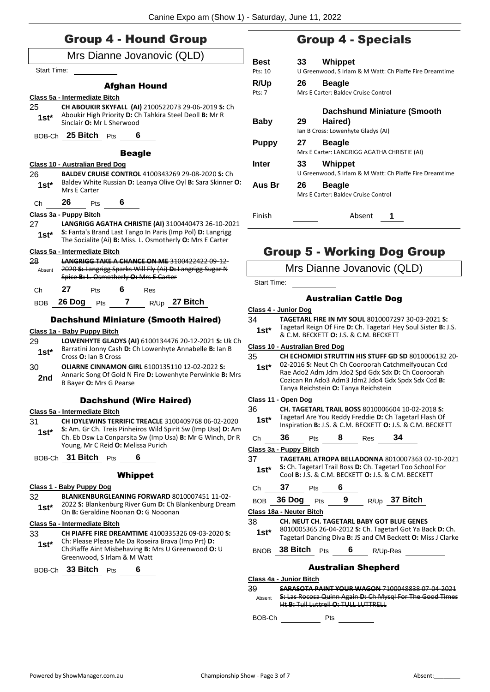| <b>Group 4 - Hound Group</b> |  |
|------------------------------|--|
| Mrs Dianne Jovanovic (QLD)   |  |

|                    | Mrs Dianne Jovanovic (QLD)                                                                                                                                      |               |
|--------------------|-----------------------------------------------------------------------------------------------------------------------------------------------------------------|---------------|
| <b>Start Time:</b> |                                                                                                                                                                 |               |
|                    | <b>Afghan Hound</b>                                                                                                                                             |               |
|                    | Class 5a - Intermediate Bitch                                                                                                                                   |               |
| 25                 | CH ABOUKIR SKYFALL (AI) 2100522073 29-06-2019 S: Ch                                                                                                             |               |
| 1st*               | Aboukir High Priority D: Ch Tahkira Steel Deoll B: Mr R<br>Sinclair O: Mr L Sherwood                                                                            |               |
|                    | BOB-Ch $25$ Bitch $Pts$                                                                                                                                         |               |
|                    | <b>Beagle</b>                                                                                                                                                   |               |
|                    | Class 10 - Australian Bred Dog                                                                                                                                  |               |
| 26                 | <b>BALDEV CRUISE CONTROL 4100343269 29-08-2020 S: Ch</b>                                                                                                        |               |
| 1st*               | Baldev White Russian D: Leanya Olive Oyl B: Sara Skinner O:<br>Mrs E Carter                                                                                     |               |
| Сh                 | 26<br>$\overline{\phantom{a}}$ 6<br>Pts                                                                                                                         |               |
|                    | Class 3a - Puppy Bitch                                                                                                                                          |               |
| 27                 | LANGRIGG AGATHA CHRISTIE (AI) 3100440473 26-10-2021                                                                                                             |               |
| 1st*               | S: Fanta's Brand Last Tango In Paris (Imp Pol) D: Langrigg                                                                                                      |               |
|                    | The Socialite (Ai) B: Miss. L. Osmotherly O: Mrs E Carter                                                                                                       |               |
|                    | Class 5a - Intermediate Bitch                                                                                                                                   |               |
| 28                 | <b>LANGRIGG TAKE A CHANCE ON ME 3100422422 09-12-</b>                                                                                                           |               |
| Absent             | 2020 S: Langrigg Sparks Will Fly (Ai) D: Langrigg Sugar N<br>Spice B: L. Osmotherly O: Mrs E Carter                                                             |               |
| Сh                 | 27 —<br>6<br><b>Pts</b><br>Res                                                                                                                                  |               |
| BOB                | 26 Dog Pts 7 R/Up 27 Bitch                                                                                                                                      |               |
|                    | <b>Dachshund Miniature (Smooth Haired)</b>                                                                                                                      | <u>c</u><br>3 |
|                    | Class 1a - Baby Puppy Bitch                                                                                                                                     |               |
| 29                 | LOWENHYTE GLADYS (AI) 6100134476 20-12-2021 S: Uk Ch                                                                                                            |               |
| 1st*               | Barratini Jonny Cash D: Ch Lowenhyte Annabelle B: Ian B<br>Cross O: Ian B Cross                                                                                 | <u>ୁ</u><br>3 |
| 30                 | <b>OLIARNE CINNAMON GIRL 6100135110 12-02-2022 S:</b>                                                                                                           |               |
| 2nd                | Annaric Song Of Gold N Fire D: Lowenhyte Perwinkle B: Mrs<br>B Bayer O: Mrs G Pearse                                                                            |               |
|                    | <b>Dachshund (Wire Haired)</b>                                                                                                                                  |               |
|                    | Class 5a - Intermediate Bitch                                                                                                                                   | 3             |
| 31                 | <b>CH IDYLEWINS TERRIFIC TREACLE 3100409768 06-02-2020</b>                                                                                                      |               |
| $1st^*$            | S: Am. Gr Ch. Treis Pinheiros Wild Spirit Sw (Imp Usa) D: Am<br>Ch. Eb Dsw La Conparsita Sw (Imp Usa) B: Mr G Winch, Dr R<br>Young, Mr C Reid O: Melissa Purich |               |
| BOB-Ch             | 31 Bitch<br>6<br>Pts                                                                                                                                            | <u>ୁ</u><br>3 |
|                    | <b>Whippet</b>                                                                                                                                                  |               |
|                    | Class 1 - Baby Puppy Dog                                                                                                                                        |               |
| 32                 |                                                                                                                                                                 |               |
|                    | BLANKENBURGLEANING FORWARD 8010007451 11-02-                                                                                                                    |               |
| 1st*               | 2022 S: Blankenburg River Gum D: Ch Blankenburg Dream                                                                                                           |               |
|                    | On B: Geraldine Noonan O: G Nooonan                                                                                                                             |               |
| 33                 | Class 5a - Intermediate Bitch<br>CH PIAFFE FIRE DREAMTIME 4100335326 09-03-2020 S.                                                                              | <u>ୁ</u><br>3 |

33 **CH PIAFFE FIRE DREAMTIME** 4100335326 09-03-2020 **S:**  Ch: Please Please Me Da Roseira Brava (Imp Prt) **D:**  Ch:Piaffe Aint Misbehaving **B:** Mrs U Greenwood **O:** U Greenwood, S Irlam & M Watt **1st\***

BOB-Ch **33 Bitch** Pts **6**

### Group 4 - Specials

| Best<br>Pts: 10 | 33 | Whippet<br>U Greenwood, S Irlam & M Watt: Ch Piaffe Fire Dreamtime           |
|-----------------|----|------------------------------------------------------------------------------|
| R/Up<br>Pts: 7  | 26 | <b>Beagle</b><br>Mrs E Carter: Baldey Cruise Control                         |
| Baby            | 29 | Dachshund Miniature (Smooth<br>Haired)<br>lan B Cross: Lowenhyte Gladys (AI) |
| <b>Puppy</b>    | 27 | <b>Beagle</b><br>Mrs E Carter: LANGRIGG AGATHA CHRISTIE (AI)                 |
| Inter           | 33 | <b>Whippet</b><br>U Greenwood, S Irlam & M Watt: Ch Piaffe Fire Dreamtime    |
| Aus Br          | 26 | <b>Beagle</b><br>Mrs E Carter: Baldey Cruise Control                         |
| Finish          |    | Absent                                                                       |

### Group 5 - Working Dog Group

Mrs Dianne Jovanovic (QLD)

Start Time:

#### Australian Cattle Dog

#### **Class 4 - Junior Dog**

#### 34 **TAGETARL FIRE IN MY SOUL** 8010007297 30-03-2021 **S:**  Tagetarl Reign Of Fire **D:** Ch. Tagetarl Hey Soul Sister **B:** J.S.

**1st** agetari Reign Of Fire **D:** Cn. Tagetari He **8.** C.M. BECKETT **0:** J.S. & C.M. BECKETT

#### **Class 10 - Australian Bred Dog**

- 35 **CH ECHOMIDI STRUTTIN HIS STUFF GD SD** 8010006132 20-
- 02-2016 **S:** Neut Ch Ch Cooroorah Catchmeifyoucan Ccd Rae Ado2 Adm Jdm Jdo2 Spd Gdx Sdx **D:** Ch Cooroorah Cozican Rn Ado3 Adm3 Jdm2 Jdo4 Gdx Spdx Sdx Ccd **B:** Tanya Reichstein **O:** Tanya Reichstein **1st\***

#### **Class 11 - Open Dog**

- 36 **CH. TAGETARL TRAIL BOSS** 8010006604 10-02-2018 **S:**  Tagetarl Are You Reddy Freddie **D:** Ch Tagetarl Flash Of **1st**\* Tagetarl Are You Reddy Freddie **D:** Ch Tagetarl Flash Of Inspiration **B:** J.S. & C.M. BECKETT **0:** J.S. & C.M. BECKETT
- 

Ch **36** Pts **8** Res **34**

**Class 3a - Puppy Bitch**

37 **TAGETARL ATROPA BELLADONNA** 8010007363 02-10-2021 **S:** Ch. Tagetarl Trail Boss **D:** Ch. Tagetarl Too School For **1st** S: Cn. Tagetari Frail Boss D: Cn. Tagetari Too School<br>Cool **B:** J.S. & C.M. BECKETT **O:** J.S. & C.M. BECKETT

#### Ch **37** Pts **6**

| BOB 36 Dog Pts |  | R/Up <b>37 Bitch</b> |
|----------------|--|----------------------|
|                |  |                      |

**Class 18a - Neuter Bitch**

38 **CH. NEUT CH. TAGETARL BABY GOT BLUE GENES** 8010005365 26-04-2012 **S:** Ch. Tagetarl Got Ya Back **D:** Ch. Tagetarl Dancing Diva **B:** JS and CM Beckett **O:** Miss J Clarke **1st\***

BNOB **38 Bitch** Pts **6** R/Up-Res

#### Australian Shepherd

**Class 4a - Junior Bitch**

39 **SARASOTA PAINT YOUR WAGON** 7100048838 07-04-2021 **S:** Las Rocosa Quinn Again **D:** Ch Mysql For The Good Times Ht **B:** Tull Luttrell **O:** TULL LUTTRELL Absent

BOB-Ch Pts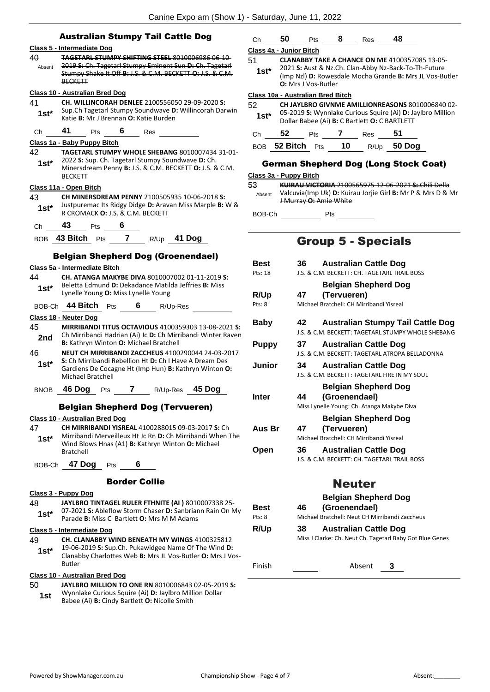|              | Canine Expo am (Show 1)                                                                                                                                                           |
|--------------|-----------------------------------------------------------------------------------------------------------------------------------------------------------------------------------|
|              |                                                                                                                                                                                   |
|              | <b>Australian Stumpy Tail Cattle Dog</b>                                                                                                                                          |
|              | Class 5 - Intermediate Dog<br><b>TAGETARL STUMPY SHIFTING STEEL 8010006986 06-10-</b>                                                                                             |
| 40<br>Absent | 2019 S: Ch. Tagetarl Stumpy Eminent Sun D: Ch. Tagetarl<br>Stumpy Shake It Off B: J.S. & C.M. BECKETT O: J.S. & C.M.<br><b>BECKETT</b>                                            |
|              | <b>Class 10 - Australian Bred Dog</b>                                                                                                                                             |
| 41<br>1st*   | <b>CH. WILLINCORAH DENLEE 2100556050 29-09-2020 S:</b><br>Sup.Ch Tagetarl Stumpy Soundwave D: Willincorah Darwin<br>Katie B: Mr J Brennan O: Katie Burden                         |
| Сh           | 41<br>6<br>Pts<br>Res                                                                                                                                                             |
|              | Class 1a - Baby Puppy Bitch                                                                                                                                                       |
| 42<br>1st*   | TAGETARL STUMPY WHOLE SHEBANG 8010007434 31-01-<br>2022 S: Sup. Ch. Tagetarl Stumpy Soundwave D: Ch.<br>Minersdream Penny B: J.S. & C.M. BECKETT O: J.S. & C.M.<br><b>BECKETT</b> |
|              | <u> Class 11a - Open Bitch</u>                                                                                                                                                    |
| 43           | CH MINERSDREAM PENNY 2100505935 10-06-2018 S:                                                                                                                                     |
| 1st*         | Justpuremac Its Ridgy Didge D: Aravan Miss Marple B: W &<br>R CROMACK <b>O:</b> J.S. & C.M. BECKETT                                                                               |
| Ch           | 43<br>6<br><b>Pts</b>                                                                                                                                                             |
|              | BOB 43 Bitch Pts<br>7<br>R/Up 41 Dog                                                                                                                                              |
|              | <b>Belgian Shepherd Dog (Groenendael)</b><br>Class 5a - Intermediate Bitch                                                                                                        |
| 44           | CH. ATANGA MAKYBE DIVA 8010007002 01-11-2019 S:                                                                                                                                   |
| $1st*$       | Beletta Edmund D: Dekadance Matilda Jeffries B: Miss<br>Lynelle Young O: Miss Lynelle Young                                                                                       |
| BOB-Ch       | 44 Bitch<br>6<br>Pts<br>R/Up-Res                                                                                                                                                  |
|              | Class 18 - Neuter Dog                                                                                                                                                             |
| 45<br>2nd    | <b>MIRRIBANDI TITUS OCTAVIOUS 4100359303 13-08-2021 S:</b><br>Ch Mirribandi Hadrian (Ai) Jc D: Ch Mirribandi Winter Raven<br><b>B:</b> Kathryn Winton O: Michael Bratchell        |
| 46           | <b>NEUT CH MIRRIBANDI ZACCHEUS 4100290044 24-03-2017</b>                                                                                                                          |
| $1st*$       | S: Ch Mirribandi Rebellion Ht D: Ch I Have A Dream Des<br>Gardiens De Cocagne Ht (Imp Hun) <b>B:</b> Kathryn Winton <b>O:</b><br><b>Michael Bratchell</b>                         |
|              | BNOB 46 Dog Pts 7 R/Up-Res 45 Dog                                                                                                                                                 |
|              | <b>Belgian Shepherd Dog (Tervueren)</b>                                                                                                                                           |
|              | Class 10 - Australian Bred Dog                                                                                                                                                    |
| 47           | CH MIRRIBANDI YISREAL 4100288015 09-03-2017 S: Ch                                                                                                                                 |
| $1st^*$      | Mirribandi Merveilleux Ht Jc Rn D: Ch Mirribandi When The<br>Wind Blows Hnas (A1) B: Kathryn Winton O: Michael<br>Bratchell                                                       |
|              | BOB-Ch 47 Dog Pts 6                                                                                                                                                               |
|              | <b>Border Collie</b>                                                                                                                                                              |
|              | Class 3 - Puppy Dog                                                                                                                                                               |

#### 48 **JAYLBRO TINTAGEL RULER FTHNITE (AI )** 8010007338 25- 07-2021 **S:** Ableflow Storm Chaser **D:** Sanbriann Rain On My Parade **B:** Miss C Bartlett **O:** Mrs M M Adams **1st\* Class 5 - Intermediate Dog** 49 **CH. CLANABBY WIND BENEATH MY WINGS** 4100325812 19-06-2019 **S:** Sup.Ch. Pukawidgee Name Of The Wind **D:**

Clanabby Charlottes Web **B:** Mrs JL Vos-Butler **O:** Mrs J Vos-Butler **1st\***

### **Class 10 - Australian Bred Dog**

- 50 **JAYLBRO MILLION TO ONE RN** 8010006843 02-05-2019 **S:**  Wynnlake Curious Squire (Ai) **D:** Jaylbro Million Dollar
	- **1st** Wynniake Curious Squire (Al) **D:** Jayloro Mill<br>Babee (Ai) **B:** Cindy Bartlett **O:** Nicolle Smith

### Ch **50** Pts **8** Res **48**

### **Class 4a - Junior Bitch**

- 51 **CLANABBY TAKE A CHANCE ON ME** 4100357085 13-05- 2021 **S:** Aust & Nz.Ch. Clan-Abby Nz-Back-To-Th-Future (Imp Nzl) **D:** Rowesdale Mocha Grande **B:** Mrs JL Vos-Butler **1st\***
	- **O:** Mrs J Vos-Butler

#### **Class 10a - Australian Bred Bitch**

52 **CH JAYLBRO GIVNME AMILLIONREASONS** 8010006840 02-

| $1st*$ |    |            |     | Dollar Babee (Ai) B: C Bartlett O: C BARTLETT | 05-2019 S: Wynnlake Curious Squire (Ai) D: Jaylbro Million |
|--------|----|------------|-----|-----------------------------------------------|------------------------------------------------------------|
| .Ch    | 52 | <b>Pts</b> | Res | 51                                            |                                                            |

| BOB 52 Bitch Pts 10 R/Up 50 Dog |  |  |
|---------------------------------|--|--|
|                                 |  |  |

### German Shepherd Dog (Long Stock Coat)

### **Class 3a - Puppy Bitch**

53 **KUIRAU VICTORIA** 2100565975 12-06-2021 **S:** Chili Della Valcuvia(Imp Uk) **D:** Kuirau Jorjie Girl **B:** Mr P & Mrs D & Mr J Murray **O:** Amie White Absent

BOB-Ch Pts

### Group 5 - Specials

| Best         | <b>Australian Cattle Dog</b><br>36 I                                                                     |
|--------------|----------------------------------------------------------------------------------------------------------|
| Pts: 18      | LS. & C.M. BECKETT: CH. TAGETARI TRAIL BOSS                                                              |
|              | <b>Belgian Shepherd Dog</b>                                                                              |
| R/Up         | (Tervueren)<br>47                                                                                        |
| Pts: 8       | Michael Bratchell: CH Mirribandi Yisreal                                                                 |
| Baby         | Australian Stumpy Tail Cattle Dog<br>42.<br><b>LS. &amp; C.M. BECKETT: TAGETARI STUMPY WHOLE SHEBANG</b> |
| <b>Puppy</b> | <b>Australian Cattle Dog</b><br>37<br><b>LS. &amp; C.M. BECKETT: TAGETARI ATROPA BELLADONNA</b>          |
| Junior       | <b>Australian Cattle Dog</b><br>34<br>LS. & C.M. BECKETT: TAGETARI FIRE IN MY SOUL                       |
| Inter        | <b>Belgian Shepherd Dog</b><br>(Groenendael)<br>44<br>Miss Lynelle Young: Ch. Atanga Makybe Diva         |
| Aus Br       | <b>Belgian Shepherd Dog</b><br>(Tervueren)<br>47<br>Michael Bratchell: CH Mirribandi Yisreal             |
| Open         | <b>Australian Cattle Dog</b><br>36 -<br>J.S. & C.M. BECKETT: CH. TAGETARL TRAIL BOSS                     |

### Neuter

#### **Best 46 Belgian Shepherd Dog (Groenendael)** Pts: 8 Michael Bratchell: Neut CH Mirribandi Zaccheus

**R/Up 38 Australian Cattle Dog** Miss J Clarke: Ch. Neut Ch. Tagetarl Baby Got Blue Genes

Finish Absent **3**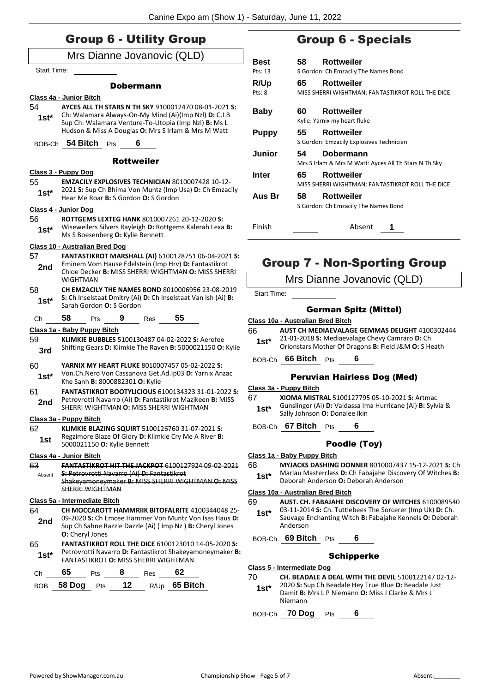|             | Mrs Dianne Jovanovic (QLD)                                                                                               |              |
|-------------|--------------------------------------------------------------------------------------------------------------------------|--------------|
| Start Time: |                                                                                                                          | Bes<br>Pts:  |
|             |                                                                                                                          | R/U          |
|             | <b>Dobermann</b>                                                                                                         | Pts: 8       |
| 54          | Class 4a - Junior Bitch<br>AYCES ALL TH STARS N TH SKY 9100012470 08-01-2021 S:                                          |              |
| 1st*        | Ch: Walamara Always-On-My Mind (Ai)(Imp Nzl) D: C.I.B                                                                    | Bal          |
|             | Sup Ch: Walamara Venture-To-Utopia (Imp Nzl) B: Ms L                                                                     |              |
|             | Hudson & Miss A Douglas O: Mrs S Irlam & Mrs M Watt                                                                      | Pur          |
|             | BOB-Ch 54 Bitch Pts<br>6                                                                                                 |              |
|             | <b>Rottweiler</b>                                                                                                        | Jur          |
|             | Class 3 - Puppy Dog                                                                                                      |              |
| 55          | <b>EMZACILY EXPLOSIVES TECHNICIAN 8010007428 10-12-</b>                                                                  | Inte         |
| $1st^*$     | 2021 S: Sup Ch Bhima Von Muntz (Imp Usa) D: Ch Emzacily                                                                  |              |
|             | Hear Me Roar <b>B:</b> S Gordon <b>O:</b> S Gordon                                                                       | Aus          |
|             | Class 4 - Junior Dog                                                                                                     |              |
| 56          | <b>ROTTGEMS LEXTEG HANK 8010007261 20-12-2020 S:</b>                                                                     |              |
| $1st*$      | Wiseweilers Silvers Rayleigh D: Rottgems Kalerah Lexa B:<br>Ms S Boesenberg O: Kylie Bennett                             | Fini:        |
|             | Class 10 - Australian Bred Dog                                                                                           |              |
| 57          | FANTASTIKROT MARSHALL (AI) 6100128751 06-04-2021 S:                                                                      |              |
| 2nd         | Eminem Vom Hause Edelstein (Imp Hrv) D: Fantastikrot                                                                     |              |
|             | Chloe Decker <b>B:</b> MISS SHERRI WIGHTMAN <b>O:</b> MISS SHERRI                                                        |              |
|             | WIGHTMAN                                                                                                                 |              |
| 58          | <b>CH EMZACILY THE NAMES BOND 8010006956 23-08-2019</b><br>S: Ch Inselstaat Dmitry (Ai) D: Ch Inselstaat Van Ish (Ai) B: |              |
| $1st*$      | Sarah Gordon O: S Gordon                                                                                                 |              |
| Ch          | 58<br>55<br>$9$ Res<br><b>Pts</b>                                                                                        | <b>Class</b> |
|             | Class 1a - Baby Puppy Bitch                                                                                              | 66           |
| 59          | KLIMKIE BUBBLES 5100130487 04-02-2022 S: Aerofee                                                                         |              |
| 3rd         | Shifting Gears D: Klimkie The Raven B: 5000021150 O: Kylie                                                               |              |
| 60          | YARNIX MY HEART FLUKE 8010007457 05-02-2022 S:                                                                           | <b>BOB</b>   |
|             | Von.Ch.Nero Von Cassanova Get.Ad.Ip03 D: Yarnix Anzac                                                                    |              |
| $1st*$      | Khe Sanh B: 8000882301 O: Kylie                                                                                          |              |
| 61          | FANTASTIKROT BOOTYLICIOUS 6100134323 31-01-2022 S:                                                                       | Class        |
| 2nd         | Petrovrotti Navarro (Ai) D: Fantastikrot Mazikeen B: MISS<br>SHERRI WIGHTMAN O: MISS SHERRI WIGHTMAN                     | 67           |
|             |                                                                                                                          |              |
|             | <u> Class 3a - Puppy Bitch</u>                                                                                           | <b>BOB</b>   |
| 62          | <b>KLIMKIE BLAZING SQUIRT 5100126760 31-07-2021 S:</b><br>Regzimore Blaze Of Glory D: Klimkie Cry Me A River B:          |              |
| 1st         | 5000021150 O: Kylie Bennett                                                                                              |              |
|             | Class 4a - Junior Bitch                                                                                                  | Class        |
| 63          | <b>FANTASTIKROT HIT THE JACKPOT 6100127924 09-02-2021</b>                                                                | 68           |
| Absent      | S: Petrovrotti Navarro (Ai) D: Fantastikrot<br>Shakevamoneymaker B: MISS SHERRI WIGHTMAN O: MISS                         |              |
|             | <b>SHERRI WIGHTMAN</b>                                                                                                   |              |
|             | Class 5a - Intermediate Bitch                                                                                            | Class<br>69  |
| 64          | <b>CH MOCCAROTT HAMMRIIK BITOFALRITE 4100344048 25-</b>                                                                  |              |
| 2nd         | 09-2020 S: Ch Emcee Hammer Von Muntz Von Isas Haus D:                                                                    |              |
|             | Sup Ch Sahne Razzle Dazzle (Ai) (Imp Nz) B: Cheryl Jones                                                                 |              |
|             | <b>O:</b> Cheryl Jones                                                                                                   | BOB          |
| 65          | <b>FANTASTIKROT ROLL THE DICE 6100123010 14-05-2020 S:</b><br>Petrovrotti Navarro D: Fantastikrot Shakeyamoneymaker B:   |              |
| $1st*$      | <b>FANTASTIKROT O: MISS SHERRI WIGHTMAN</b>                                                                              |              |
|             | 65<br>8<br>62<br><b>Pts</b><br><b>Res</b>                                                                                | <b>Class</b> |
| Ch          |                                                                                                                          | 70           |

### Group 6 - Specials

| <b>Best</b>  | 58                                   | Rottweiler                                                         |  |
|--------------|--------------------------------------|--------------------------------------------------------------------|--|
| Pts: 13      | S Gordon: Ch Emzacily The Names Bond |                                                                    |  |
| R/Up         | 65                                   | Rottweiler                                                         |  |
| Pts: 8       |                                      | MISS SHERRI WIGHTMAN: FANTASTIKROT ROLL THE DICE                   |  |
| Baby         | 60                                   | Rottweiler<br>Kylie: Yarnix my heart fluke                         |  |
| <b>Puppy</b> | 55                                   | <b>Rottweiler</b><br>S Gordon: Emzacily Explosives Technician      |  |
| Junior       | 54                                   | Dobermann<br>Mrs S Irlam & Mrs M Watt: Ayces All Th Stars N Th Sky |  |
| Inter        | 65                                   | Rottweiler<br>MISS SHERRI WIGHTMAN: FANTASTIKROT ROLL THE DICE     |  |
| Aus Br       | 58                                   | <b>Rottweiler</b><br>S Gordon: Ch Emzacily The Names Bond          |  |
| Finish       |                                      | Absent                                                             |  |

### Group 7 - Non-Sporting Group

Mrs Dianne Jovanovic (QLD)

rt Time:

### German Spitz (Mittel)

- **Class 10a - Australian Bred Bitch**
- 66 **AUST CH MEDIAEVALAGE GEMMAS DELIGHT** 4100302444 21-01-2018 **S:** Mediaevalage Chevy Camraro **D:** Ch
	- Orionstars Mother Of Dragons **B:** Field J&M **O:** S Heath **1st\***

BOB-Ch **66 Bitch** Pts **6**

#### Peruvian Hairless Dog (Med)

**Class 3a - Puppy Bitch**

- 67 **XIOMA MISTRAL** 5100127795 05-10-2021 **S:** Artmac Gunslinger (Ai) **D:** Valdassa Ima Hurricane (Ai) **B:** Sylvia & Sally Johnson **O:** Donalee Ikin **1st\***
- **67 Bitch** Pts **6**

#### Poodle (Toy)

- **Class 1a - Baby Puppy Bitch**
- 68 **MYJACKS DASHING DONNER** 8010007437 15-12-2021 **S:** Ch Marlau Masterclass **D:** Ch Fabajahe Discovery Of Witches **B:** Deborah Anderson **O:** Deborah Anderson **1st\***

#### **Class 10a - Australian Bred Bitch**

- 69 **AUST. CH. FABAJAHE DISCOVERY OF WITCHES** 6100089540 03-11-2014 **S:** Ch. Tuttlebees The Sorcerer (Imp Uk) **D:** Ch. Sauvage Enchanting Witch **B:** Fabajahe Kennels **O:** Deborah Anderson **1st\***
	- Boby Ch 69 Bitch Pts 6

#### Schipperke

- **Class 5 - Intermediate Dog**
- 70 **CH. BEADALE A DEAL WITH THE DEVIL** 5100122147 02-12-
- 2020 **S:** Sup Ch Beadale Hey True Blue **D:** Beadale Just Damit **B:** Mrs L P Niemann **O:** Miss J Clarke & Mrs L Niemann **1st\***

BOB-Ch **70 Dog** Pts **6**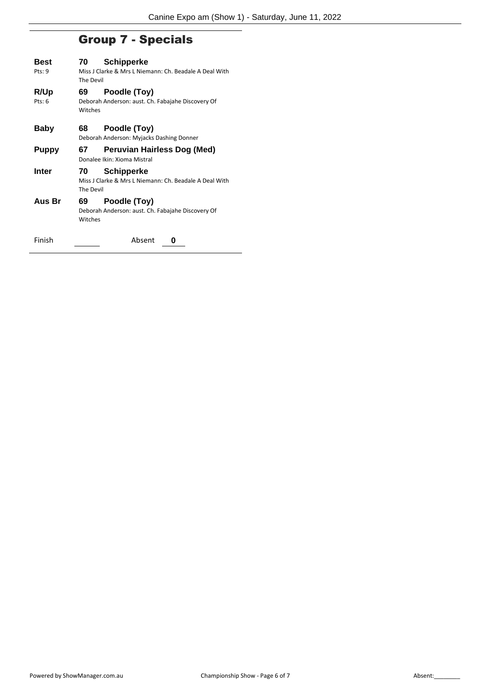## Group 7 - Specials

| Best         | 70                                                                  | <b>Schipperke</b>           |  |  |  |
|--------------|---------------------------------------------------------------------|-----------------------------|--|--|--|
| Pts: 9       | Miss J Clarke & Mrs L Niemann: Ch. Beadale A Deal With<br>The Devil |                             |  |  |  |
| R/Up         | 69                                                                  | Poodle (Toy)                |  |  |  |
| Pts: 6       | Deborah Anderson: aust. Ch. Fabajahe Discovery Of<br>Witches        |                             |  |  |  |
| Baby         | 68                                                                  | Poodle (Toy)                |  |  |  |
|              | Deborah Anderson: Myjacks Dashing Donner                            |                             |  |  |  |
| <b>Puppy</b> | 67                                                                  | Peruvian Hairless Dog (Med) |  |  |  |
|              | Donalee Ikin: Xioma Mistral                                         |                             |  |  |  |
| Inter        | 70                                                                  | <b>Schipperke</b>           |  |  |  |
|              | Miss J Clarke & Mrs L Niemann: Ch. Beadale A Deal With<br>The Devil |                             |  |  |  |
| Aus Br       | 69                                                                  | Poodle (Toy)                |  |  |  |
|              | Deborah Anderson: aust. Ch. Fabajahe Discovery Of<br>Witches        |                             |  |  |  |
| Finish       |                                                                     | Absent<br>O                 |  |  |  |